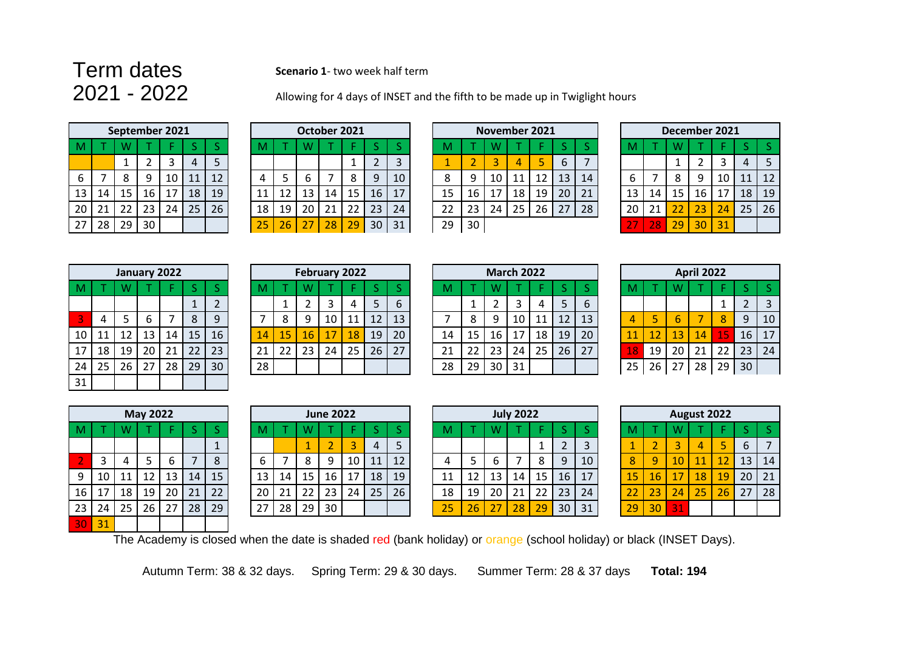## **Term dates Scenario 1**- two week half term<br>2021 - 2022 Allowing for 4 days of INSET and

Allowing for 4 days of INSET and the fifth to be made up in Twiglight hours

|    |    |    | September 2021 |    |    |    |
|----|----|----|----------------|----|----|----|
| M  |    | W  |                |    | ς  | ς  |
|    |    | 1  | 2              | 3  | 4  | 5  |
| 6  |    | 8  | 9              | 10 | 11 | 12 |
| 13 | 14 | 15 | 16             | 17 | 18 | 19 |
| 20 | 21 | 22 | 23             | 24 | 25 | 26 |
| 27 | 28 | 29 | 30             |    |    |    |

|    |    |    |    | October 2021 |    |                |
|----|----|----|----|--------------|----|----------------|
| M  |    | W  |    |              | ς  |                |
|    |    |    |    |              | 2  | 3              |
|    | 5  | 6  |    | 8            | q  | 1 <sup>C</sup> |
| 11 | 12 | 13 | 14 | 15           | 16 | 7              |
| 18 | 19 | 20 | 21 | 22           | 23 | 24             |
| 25 | 26 | 27 | 28 | 29           | 30 | 31             |

|                 |                 | September 2021 |    |    |    |    |  |    |    | October 2021    |    |      |    |    |    |    |    | <b>November 2021</b> |    |    |    |               |    |    | December 2021 |    |           |    |
|-----------------|-----------------|----------------|----|----|----|----|--|----|----|-----------------|----|------|----|----|----|----|----|----------------------|----|----|----|---------------|----|----|---------------|----|-----------|----|
|                 |                 |                |    |    |    |    |  |    |    |                 |    |      |    |    |    |    |    |                      |    |    |    |               |    |    |               |    |           |    |
|                 |                 |                |    |    |    |    |  |    |    |                 |    |      |    | 3  |    |    |    |                      |    | 6  |    |               |    |    |               |    | 4         |    |
| 6               |                 |                | a  | 10 | 11 | 12 |  |    |    |                 |    | 8    | 9  | 10 | 8  | Q  | 10 |                      |    | 13 | 14 |               |    | 8  |               | 10 | 11        | 12 |
| 13 <sup>1</sup> | 14 <sup>7</sup> | 15             | 16 | 17 | 18 | 19 |  |    | 12 | 13 <sup>°</sup> | 14 | 15 I | 16 | 17 | 15 | 16 | 17 | 18                   | 19 | 20 | 21 | 13            | 14 | 15 | 16            | 17 | <b>18</b> | 19 |
| 20              | 71              | 22             | 23 | 24 | 25 | 26 |  | 18 | 19 | 20              | 21 | 22   | 23 | 24 | 22 | 23 | 24 | 25                   | 26 | 27 | 28 | 20            | 21 | 22 | 23            | 24 | 25        | 26 |
| 27              | 28              | 29             | 30 |    |    |    |  | 25 | 26 | 27              | 28 | 29   | 30 | 31 | 29 | 30 |    |                      |    |    |    | $\sim$ $\sim$ | 28 | 29 | 30            | 31 |           |    |
|                 |                 |                |    |    |    |    |  |    |    |                 |    |      |    |    |    |    |    |                      |    |    |    |               |    |    |               |    |           |    |

|    |    |    |    | December 2021 |    |                 |
|----|----|----|----|---------------|----|-----------------|
| M  |    | W  |    |               | S  | S               |
|    |    | 1  | 2  | 3             | 4  | 5               |
| 6  |    | 8  | 9  | 10            | 11 | 12 <sup>2</sup> |
| 13 | 14 | 15 | 16 | 17            | 18 | 19              |
| 20 | 21 | 22 | 23 | 24            | 25 | 26              |
| 27 | 28 | 29 | 30 | 31            |    |                 |

|    |    |    | January 2022 |    |    |                |
|----|----|----|--------------|----|----|----------------|
| M  |    | W  |              | F  | S  | S              |
|    |    |    |              |    | 1  | $\overline{2}$ |
| 3  | 4  | 5  | 6            |    | 8  | 9              |
| 10 | 11 | 12 | 13           | 14 | 15 | 16             |
| 17 | 18 | 19 | 20           | 21 | 22 | 23             |
| 24 | 25 | 26 | 27           | 28 | 29 | 30             |
| 31 |    |    |              |    |    |                |

|                 |    |    |                 | January 2022 |                 |    |    |    | February 2022 |    |                 |    |    |    |    |    | <b>March 2022</b> |    |    |             |                     |    |    | <b>April 2022</b> |    |                 |    |
|-----------------|----|----|-----------------|--------------|-----------------|----|----|----|---------------|----|-----------------|----|----|----|----|----|-------------------|----|----|-------------|---------------------|----|----|-------------------|----|-----------------|----|
|                 |    |    |                 |              |                 |    |    |    |               |    |                 |    |    |    |    |    |                   |    |    |             |                     |    |    |                   |    |                 |    |
|                 |    |    |                 |              |                 |    |    | л. |               |    | д               |    | b  |    |    |    |                   |    |    | $\mathbf b$ |                     |    |    |                   |    |                 |    |
|                 |    |    |                 |              | 8               | q  |    |    |               | 10 |                 | 12 | 13 |    | 8  |    | 10                |    | 12 | 13          |                     |    |    |                   | 8  | 9               | 10 |
| 10 l            |    | 12 | 13              | 14           | 15 <sub>1</sub> | 16 | 14 | 15 | 16            |    | 18              | 19 | 20 | 14 | 15 | 16 |                   | 18 | 19 | 20          |                     |    | 13 | 14                | 15 | 16 <sub>1</sub> | 17 |
| 17 <sup>1</sup> | 18 | 19 | 20 <sub>1</sub> | 21           | 22 <sub>1</sub> | 23 | 21 | 22 | 23            | 24 | 25 <sub>1</sub> | 26 | 27 | 21 | 22 | 23 | 24                | 25 | 26 | 27          | $\overline{\bf 18}$ | 19 | 20 | 21                | 22 | 23              | 24 |
| 24              | 25 | 26 | 27              | 28           | 29              | 30 | 28 |    |               |    |                 |    |    | 28 | 29 | 30 | 31                |    |    |             | 25                  | 26 | 27 | 28                | 29 | 30 <sup>°</sup> |    |
|                 |    |    |                 |              |                 |    |    |    |               |    |                 |    |    |    |    |    |                   |    |    |             |                     |    |    |                   |    |                 |    |

|    |    |    | <b>March 2022</b> |    |    |                |
|----|----|----|-------------------|----|----|----------------|
| M  |    | w  |                   |    | S  |                |
|    | 1  | 2  | 3                 | 4  | 5  | F              |
|    | 8  | 9  | 10                | 11 | 12 |                |
| 14 | 15 | 16 | 17                | 18 | 19 | 2              |
| 21 | 22 | 23 | 24                | 25 | 26 | $\overline{2}$ |
| 28 | 29 | 30 | 31                |    |    |                |

|    | <b>March 2022</b> |    |    |    |    |    |    | <b>April 2022</b> |    |    |    |
|----|-------------------|----|----|----|----|----|----|-------------------|----|----|----|
| W  |                   | F  |    |    | M  |    | W  |                   | н  | S  |    |
| 2  | 3                 |    | 5  | 6  |    |    |    |                   |    | 2  | 3  |
| 9  | 10                |    | 12 | 13 |    | 5  | 6  |                   | 8  | 9  | 10 |
| 16 |                   | 18 | 19 | 20 | 11 | 12 | 13 | 14                | 15 | 16 | 17 |
| 23 | 24                | 25 | 26 | 27 |    | 19 | 20 | 21                | 22 | 23 | 24 |
| 30 |                   |    |    |    | 25 | 26 | 27 | 28                | 29 | 30 |    |

|    |    |    | <b>May 2022</b> |    |    |              |
|----|----|----|-----------------|----|----|--------------|
| M  |    | W  |                 | F  | S  | S            |
|    |    |    |                 |    |    | $\mathbf{1}$ |
| 2  | 3  | 4  | 5               | 6  | 7  | 8            |
| 9  | 10 | 11 | 12              | 13 | 14 | 15           |
| 16 | 17 | 18 | 19              | 20 | 21 | 22           |
| 23 | 24 | 25 | 26              | 27 | 28 | 29           |
| 80 | 31 |    |                 |    |    |              |

|      |    |    | <b>NIAY ZUZZ</b> |    |    |    |    | June 2022 |    |    |    |    |    |    |                 |    | <b>JUIV ZUZZ</b> |    |    |    |    |                | <b>August 2022</b> |    |    |    |                |
|------|----|----|------------------|----|----|----|----|-----------|----|----|----|----|----|----|-----------------|----|------------------|----|----|----|----|----------------|--------------------|----|----|----|----------------|
|      |    |    |                  |    |    |    | М  |           |    |    |    |    |    | M  |                 |    |                  |    |    |    |    |                |                    |    |    |    |                |
|      |    |    |                  |    |    |    |    |           |    |    |    | 4  |    |    |                 |    |                  |    |    |    |    |                |                    |    |    | b  |                |
|      |    |    |                  | b  |    |    | ь  |           |    |    | 10 | 11 | 12 |    |                 |    |                  | 8  | 9  | 10 | 8  | $\overline{9}$ | 10                 |    |    | 13 | 1 <sup>′</sup> |
| 9    | 10 |    |                  | 13 | 14 | 15 | 13 | 14        | 15 | 16 |    | 18 | 19 | 11 |                 | 13 | 14               | 15 | 16 | 17 | 15 | <b>16</b>      | 17                 | 18 | 19 | 20 | $2^{\circ}$    |
| 16 I | 17 | 18 | 19               | 20 | 21 | 22 | 20 | 21        | 22 | 23 | 24 | 25 | 26 | 18 | 19 <sup>1</sup> | 20 | 21               | 22 | 23 | 24 |    | 23             | 24                 | 25 | 26 | 27 | 28             |
| 23   | 24 | 25 | 26               | 27 | 28 | 29 | 27 | 28        | 29 | 30 |    |    |    | 25 | 26              |    | 28               | 29 | 30 | 31 | 29 | 30             | 31                 |    |    |    |                |
|      |    |    |                  |    |    |    |    |           |    |    |    |    |    |    |                 |    |                  |    |    |    |    |                |                    |    |    |    |                |

|    | <b>June 2022</b> |    |    |    |    |    |    | <b>July 2022</b> |    |    |                |
|----|------------------|----|----|----|----|----|----|------------------|----|----|----------------|
| N  |                  |    |    |    |    |    |    |                  |    |    | S              |
|    |                  | 3  |    |    |    |    |    |                  |    | 2  | 3              |
| 8  | 9                | 10 |    | 12 |    |    | 6  |                  | 8  | 9  |                |
|    | 16               |    | 18 | 19 | 11 | 12 | 13 | 14               | 15 | 16 |                |
| !2 | 23               | 24 | 25 | 26 | 18 | 19 | 20 | 21               | 22 | 23 | $\mathfrak{p}$ |
| q  |                  |    |    |    |    |    |    | Ω                |    | 30 | ς              |

|      |                |    | <b>May 2022</b> |    |    |    |                 |    |    | <b>June 2022</b> |    |    |    |    |    |    | <b>July 2022</b> |    |    |    |    |                 | August 2022 |    |    |    |    |
|------|----------------|----|-----------------|----|----|----|-----------------|----|----|------------------|----|----|----|----|----|----|------------------|----|----|----|----|-----------------|-------------|----|----|----|----|
|      |                |    |                 |    |    |    |                 |    |    |                  |    |    |    | M  |    | W  |                  |    |    |    |    |                 |             |    |    |    |    |
|      |                |    |                 |    |    |    |                 |    |    |                  |    |    |    |    |    |    |                  |    |    | 3  |    |                 |             | д  |    |    |    |
|      |                | 4  |                 | b  |    | O  |                 |    |    | Q                | 10 | 11 | 12 |    |    |    |                  |    | q  | 10 | 8  | 9               | 10          | 11 | 12 | 13 | 14 |
|      | 9 10           | 11 |                 | 13 | 14 | 15 | 13              | 14 | 15 | 16               | 17 | 18 | 19 | 11 | 12 | 13 | 14               | 15 | 16 | 17 | 15 | 16 <sup>1</sup> | 17          | 18 | 19 | 20 | 21 |
| 16 1 | $\overline{7}$ | 18 | 19 I            | 20 | 21 | 22 | 20 <sub>1</sub> | 21 | 22 | 23               | 24 | 25 | 26 | 18 | 19 | 20 | 21               | 22 | 23 | 24 | 22 | 23              | 24          | 25 | 26 | 27 | 28 |
| 23   | 24             | 25 | 26              | 27 | 28 | 29 | 27              | 28 | 29 | 30               |    |    |    | 25 | 26 | 27 | 28               | 29 | 30 | 31 | 29 | 30              | 31          |    |    |    |    |

The Academy is closed when the date is shaded red (bank holiday) or orange (school holiday) or black (INSET Days).

Autumn Term: 38 & 32 days. Spring Term: 29 & 30 days. Summer Term: 28 & 37 days **Total: 194**